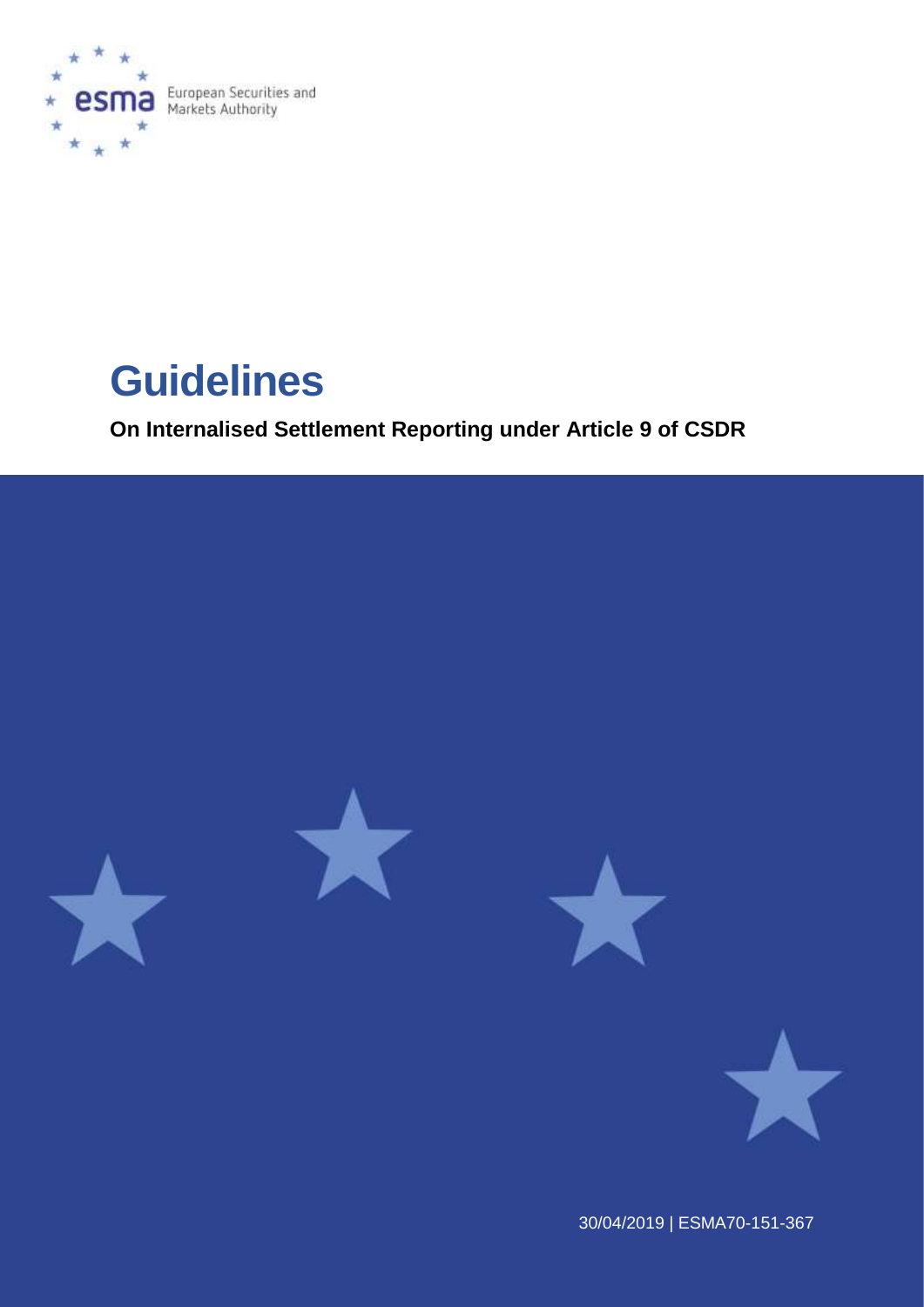

**Guidelines**

**On Internalised Settlement Reporting under Article 9 of CSDR**



30/04/2019 | ESMA70-151-367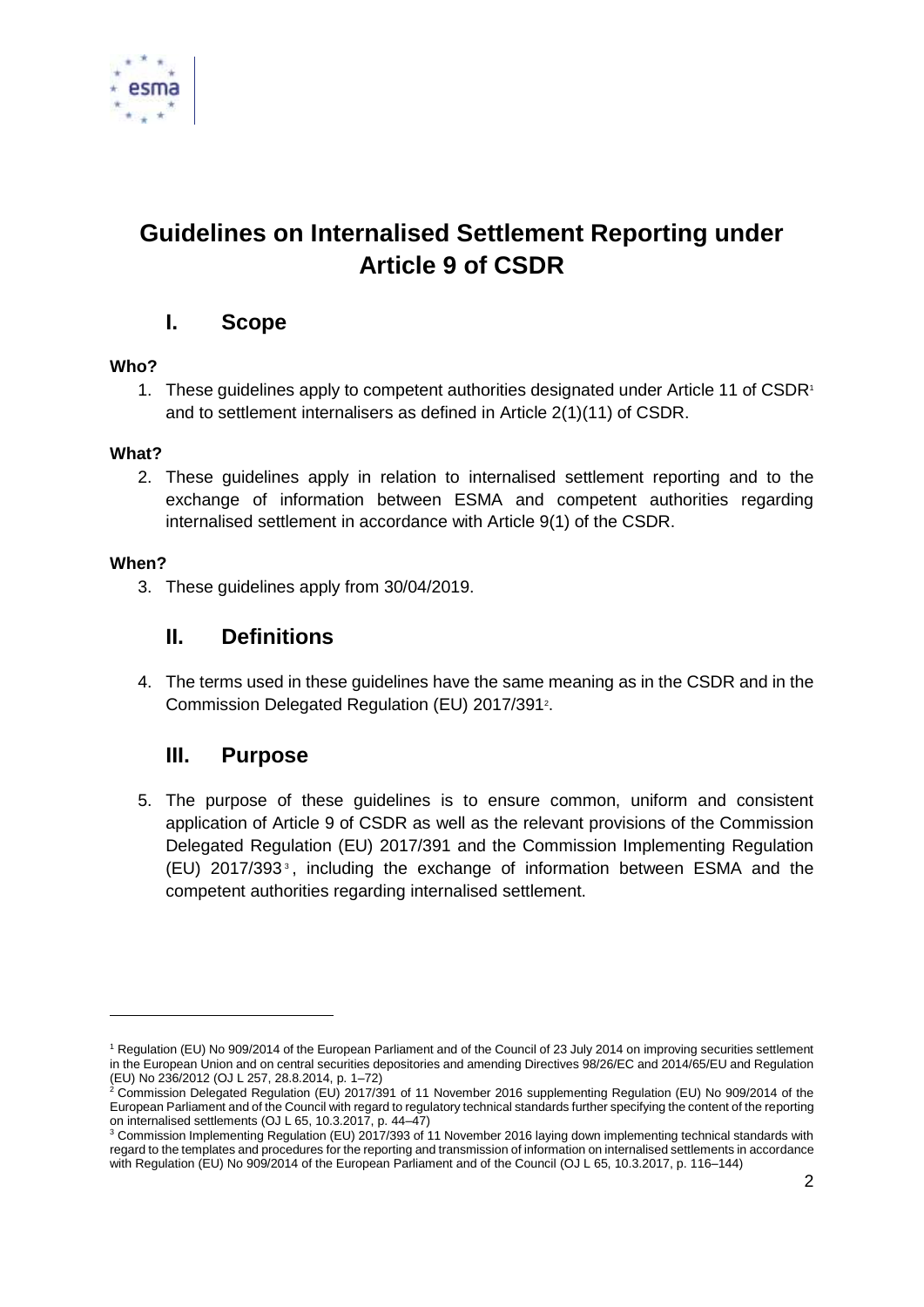

# **Guidelines on Internalised Settlement Reporting under Article 9 of CSDR**

# **I. Scope**

### **Who?**

1. These guidelines apply to competent authorities designated under Article 11 of CSDR<sup>1</sup> and to settlement internalisers as defined in Article 2(1)(11) of CSDR.

## **What?**

2. These guidelines apply in relation to internalised settlement reporting and to the exchange of information between ESMA and competent authorities regarding internalised settlement in accordance with Article 9(1) of the CSDR.

### **When?**

1

3. These guidelines apply from 30/04/2019.

# **II. Definitions**

4. The terms used in these guidelines have the same meaning as in the CSDR and in the Commission Delegated Regulation (EU) 2017/391<sup>2</sup>.

# **III. Purpose**

5. The purpose of these guidelines is to ensure common, uniform and consistent application of Article 9 of CSDR as well as the relevant provisions of the Commission Delegated Regulation (EU) 2017/391 and the Commission Implementing Regulation (EU) 2017/393 <sup>3</sup> , including the exchange of information between ESMA and the competent authorities regarding internalised settlement.

<sup>1</sup> Regulation (EU) No 909/2014 of the European Parliament and of the Council of 23 July 2014 on improving securities settlement in the European Union and on central securities depositories and amending Directives 98/26/EC and 2014/65/EU and Regulation (EU) No 236/2012 (OJ L 257, 28.8.2014, p. 1–72)

 $2$  Commission Delegated Regulation (EU) 2017/391 of 11 November 2016 supplementing Regulation (EU) No 909/2014 of the European Parliament and of the Council with regard to regulatory technical standards further specifying the content of the reporting on internalised settlements (OJ L 65, 10.3.2017, p. 44–47)

<sup>3</sup> Commission Implementing Regulation (EU) 2017/393 of 11 November 2016 laying down implementing technical standards with regard to the templates and procedures for the reporting and transmission of information on internalised settlements in accordance with Regulation (EU) No 909/2014 of the European Parliament and of the Council (OJ L 65, 10.3.2017, p. 116–144)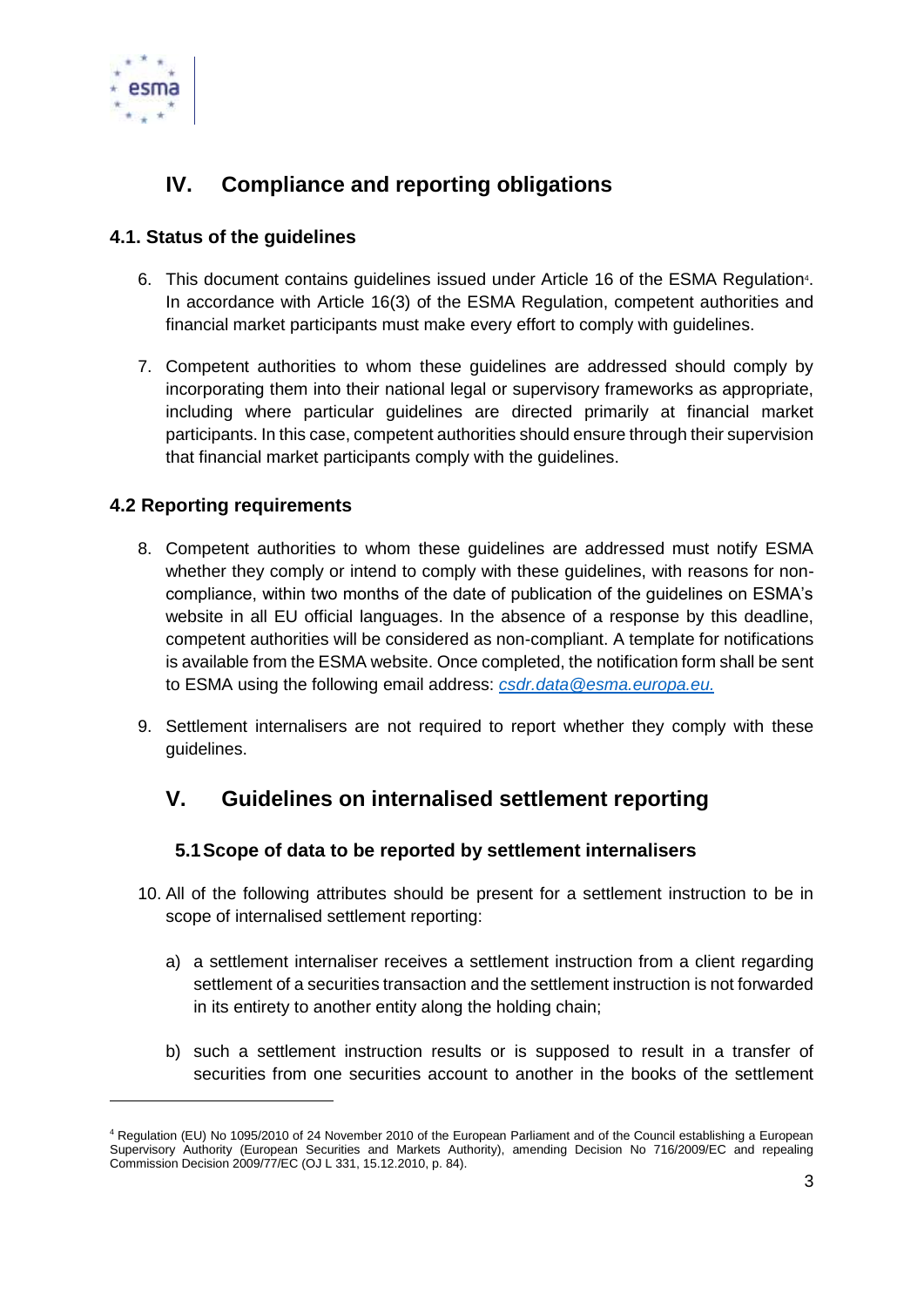

# **IV. Compliance and reporting obligations**

## **4.1. Status of the guidelines**

- 6. This document contains guidelines issued under Article 16 of the ESMA Regulation<sup>4</sup>. In accordance with Article 16(3) of the ESMA Regulation, competent authorities and financial market participants must make every effort to comply with guidelines.
- 7. Competent authorities to whom these guidelines are addressed should comply by incorporating them into their national legal or supervisory frameworks as appropriate, including where particular guidelines are directed primarily at financial market participants. In this case, competent authorities should ensure through their supervision that financial market participants comply with the guidelines.

# **4.2 Reporting requirements**

1

- 8. Competent authorities to whom these guidelines are addressed must notify ESMA whether they comply or intend to comply with these guidelines, with reasons for noncompliance, within two months of the date of publication of the guidelines on ESMA's website in all EU official languages. In the absence of a response by this deadline, competent authorities will be considered as non-compliant. A template for notifications is available from the ESMA website. Once completed, the notification form shall be sent to ESMA using the following email address: *[csdr.data@esma.europa.eu.](mailto:csdr.data@esma.europa.eu)*
- 9. Settlement internalisers are not required to report whether they comply with these guidelines.

# **V. Guidelines on internalised settlement reporting**

## **5.1Scope of data to be reported by settlement internalisers**

- 10. All of the following attributes should be present for a settlement instruction to be in scope of internalised settlement reporting:
	- a) a settlement internaliser receives a settlement instruction from a client regarding settlement of a securities transaction and the settlement instruction is not forwarded in its entirety to another entity along the holding chain;
	- b) such a settlement instruction results or is supposed to result in a transfer of securities from one securities account to another in the books of the settlement

<sup>4</sup> Regulation (EU) No 1095/2010 of 24 November 2010 of the European Parliament and of the Council establishing a European Supervisory Authority (European Securities and Markets Authority), amending Decision No 716/2009/EC and repealing Commission Decision 2009/77/EC (OJ L 331, 15.12.2010, p. 84).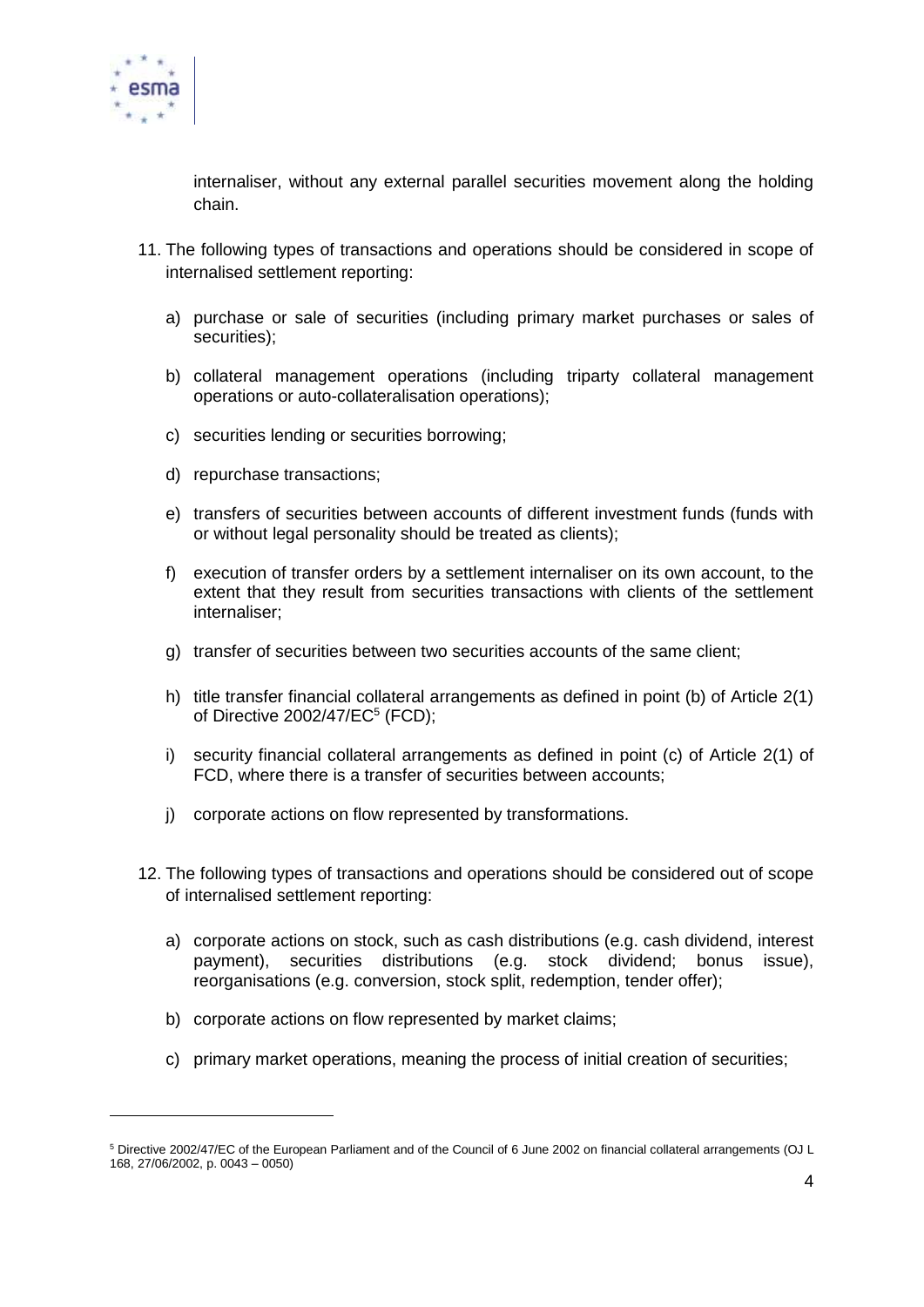

1

internaliser, without any external parallel securities movement along the holding chain.

- 11. The following types of transactions and operations should be considered in scope of internalised settlement reporting:
	- a) purchase or sale of securities (including primary market purchases or sales of securities);
	- b) collateral management operations (including triparty collateral management operations or auto-collateralisation operations);
	- c) securities lending or securities borrowing;
	- d) repurchase transactions;
	- e) transfers of securities between accounts of different investment funds (funds with or without legal personality should be treated as clients);
	- f) execution of transfer orders by a settlement internaliser on its own account, to the extent that they result from securities transactions with clients of the settlement internaliser;
	- g) transfer of securities between two securities accounts of the same client;
	- h) title transfer financial collateral arrangements as defined in point (b) of Article 2(1) of Directive 2002/47/EC<sup>5</sup> (FCD);
	- i) security financial collateral arrangements as defined in point (c) of Article 2(1) of FCD, where there is a transfer of securities between accounts;
	- j) corporate actions on flow represented by transformations.
- 12. The following types of transactions and operations should be considered out of scope of internalised settlement reporting:
	- a) corporate actions on stock, such as cash distributions (e.g. cash dividend, interest payment), securities distributions (e.g. stock dividend; bonus issue), reorganisations (e.g. conversion, stock split, redemption, tender offer);
	- b) corporate actions on flow represented by market claims;
	- c) primary market operations, meaning the process of initial creation of securities;

<sup>5</sup> Directive 2002/47/EC of the European Parliament and of the Council of 6 June 2002 on financial collateral arrangements (OJ L 168, 27/06/2002, p. 0043 – 0050)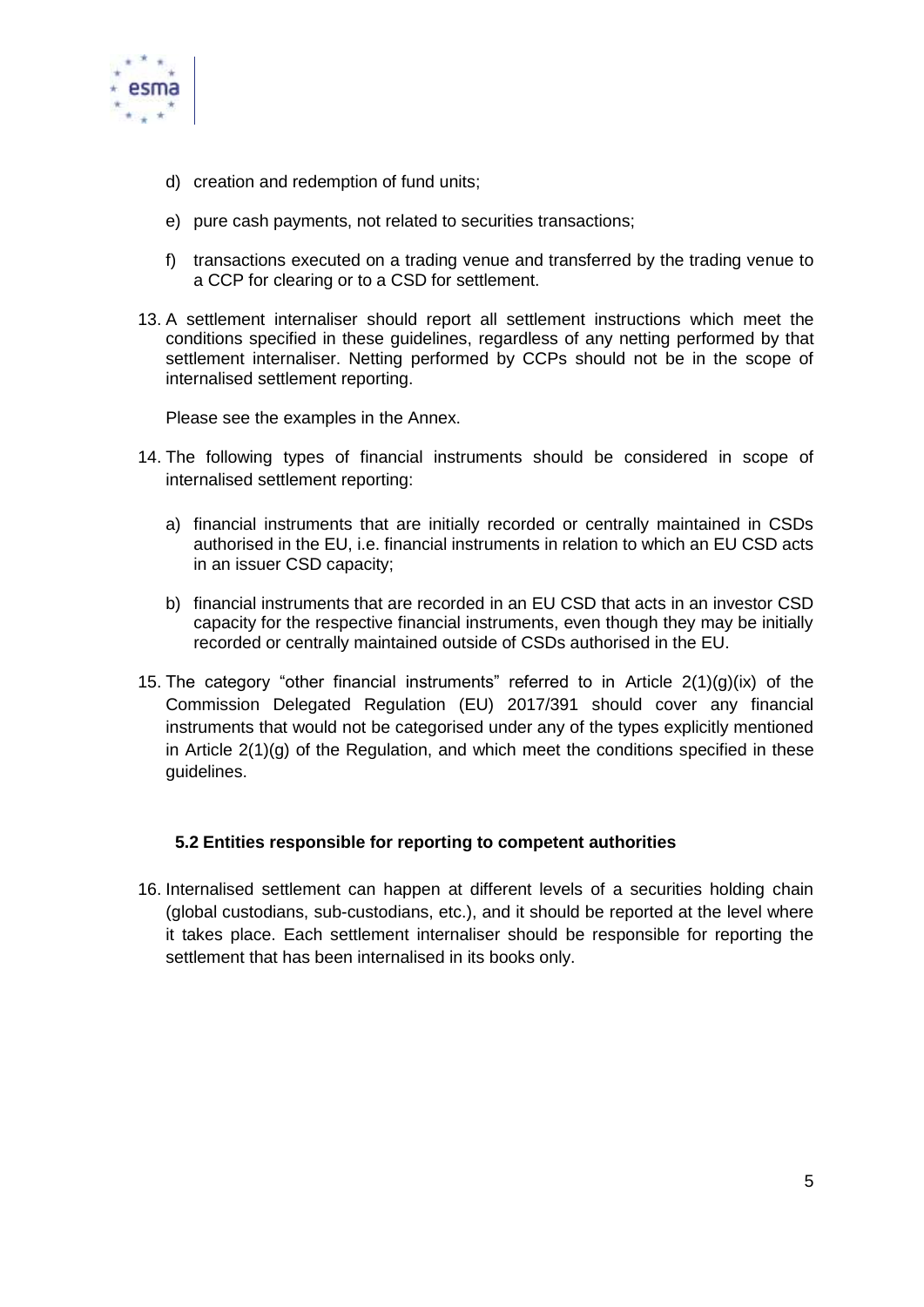

- d) creation and redemption of fund units;
- e) pure cash payments, not related to securities transactions;
- f) transactions executed on a trading venue and transferred by the trading venue to a CCP for clearing or to a CSD for settlement.
- 13. A settlement internaliser should report all settlement instructions which meet the conditions specified in these guidelines, regardless of any netting performed by that settlement internaliser. Netting performed by CCPs should not be in the scope of internalised settlement reporting.

Please see the examples in the Annex.

- 14. The following types of financial instruments should be considered in scope of internalised settlement reporting:
	- a) financial instruments that are initially recorded or centrally maintained in CSDs authorised in the EU, i.e. financial instruments in relation to which an EU CSD acts in an issuer CSD capacity;
	- b) financial instruments that are recorded in an EU CSD that acts in an investor CSD capacity for the respective financial instruments, even though they may be initially recorded or centrally maintained outside of CSDs authorised in the EU.
- 15. The category "other financial instruments" referred to in Article  $2(1)(g)(ix)$  of the Commission Delegated Regulation (EU) 2017/391 should cover any financial instruments that would not be categorised under any of the types explicitly mentioned in Article 2(1)(g) of the Regulation, and which meet the conditions specified in these guidelines.

### **5.2 Entities responsible for reporting to competent authorities**

16. Internalised settlement can happen at different levels of a securities holding chain (global custodians, sub-custodians, etc.), and it should be reported at the level where it takes place. Each settlement internaliser should be responsible for reporting the settlement that has been internalised in its books only.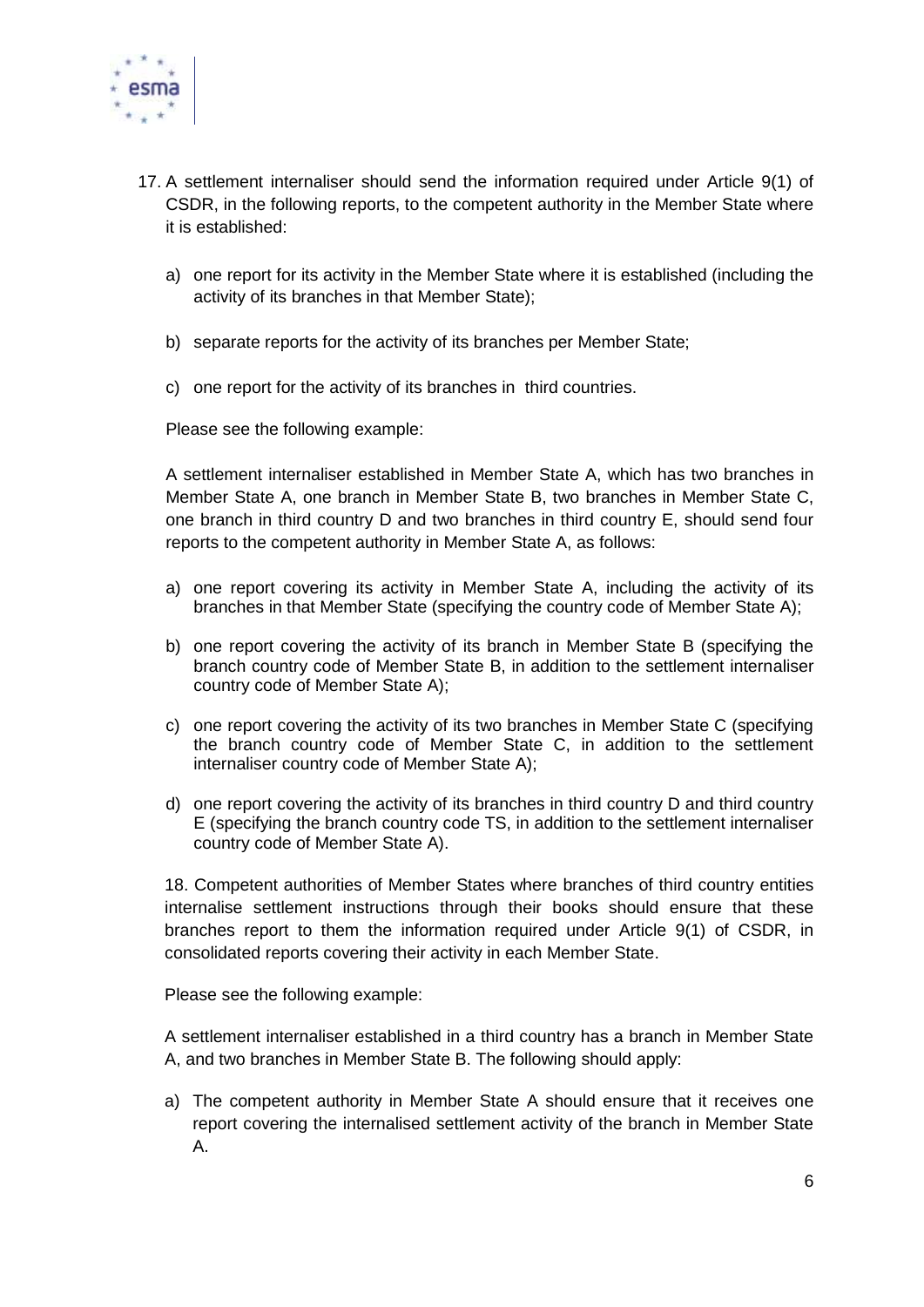

- 17. A settlement internaliser should send the information required under Article 9(1) of CSDR, in the following reports, to the competent authority in the Member State where it is established:
	- a) one report for its activity in the Member State where it is established (including the activity of its branches in that Member State);
	- b) separate reports for the activity of its branches per Member State;
	- c) one report for the activity of its branches in third countries.

Please see the following example:

A settlement internaliser established in Member State A, which has two branches in Member State A, one branch in Member State B, two branches in Member State C, one branch in third country D and two branches in third country E, should send four reports to the competent authority in Member State A, as follows:

- a) one report covering its activity in Member State A, including the activity of its branches in that Member State (specifying the country code of Member State A);
- b) one report covering the activity of its branch in Member State B (specifying the branch country code of Member State B, in addition to the settlement internaliser country code of Member State A);
- c) one report covering the activity of its two branches in Member State C (specifying the branch country code of Member State C, in addition to the settlement internaliser country code of Member State A);
- d) one report covering the activity of its branches in third country D and third country E (specifying the branch country code TS, in addition to the settlement internaliser country code of Member State A).

18. Competent authorities of Member States where branches of third country entities internalise settlement instructions through their books should ensure that these branches report to them the information required under Article 9(1) of CSDR, in consolidated reports covering their activity in each Member State.

Please see the following example:

A settlement internaliser established in a third country has a branch in Member State A, and two branches in Member State B. The following should apply:

a) The competent authority in Member State A should ensure that it receives one report covering the internalised settlement activity of the branch in Member State A.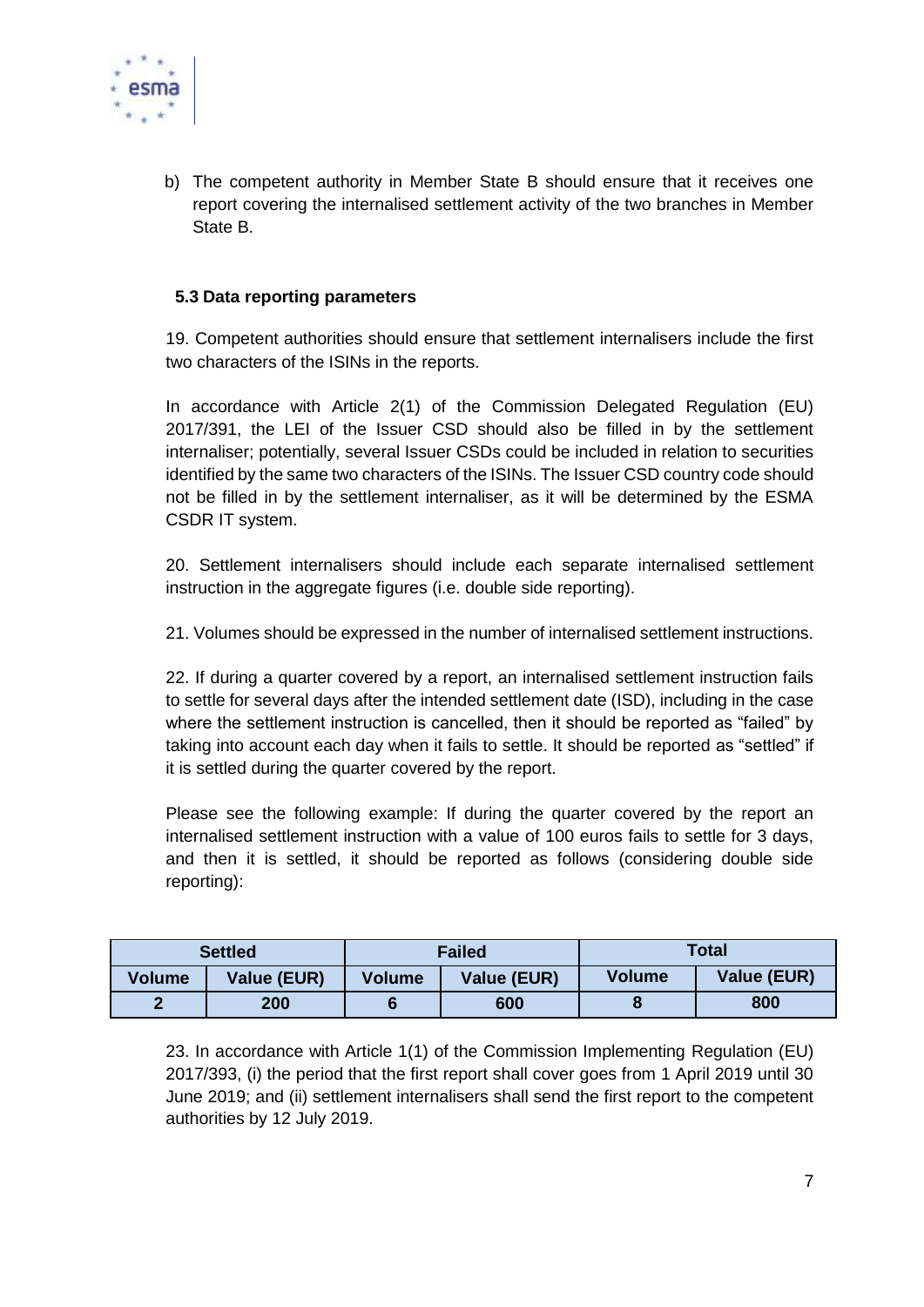

b) The competent authority in Member State B should ensure that it receives one report covering the internalised settlement activity of the two branches in Member State B.

#### **5.3 Data reporting parameters**

19. Competent authorities should ensure that settlement internalisers include the first two characters of the ISINs in the reports.

In accordance with Article 2(1) of the Commission Delegated Regulation (EU) 2017/391, the LEI of the Issuer CSD should also be filled in by the settlement internaliser; potentially, several Issuer CSDs could be included in relation to securities identified by the same two characters of the ISINs. The Issuer CSD country code should not be filled in by the settlement internaliser, as it will be determined by the ESMA CSDR IT system.

20. Settlement internalisers should include each separate internalised settlement instruction in the aggregate figures (i.e. double side reporting).

21. Volumes should be expressed in the number of internalised settlement instructions.

22. If during a quarter covered by a report, an internalised settlement instruction fails to settle for several days after the intended settlement date (ISD), including in the case where the settlement instruction is cancelled, then it should be reported as "failed" by taking into account each day when it fails to settle. It should be reported as "settled" if it is settled during the quarter covered by the report.

Please see the following example: If during the quarter covered by the report an internalised settlement instruction with a value of 100 euros fails to settle for 3 days, and then it is settled, it should be reported as follows (considering double side reporting):

| <b>Settled</b> |             | <b>Failed</b> |                    | <b>Total</b>  |             |
|----------------|-------------|---------------|--------------------|---------------|-------------|
| Volume         | Value (EUR) | Volume        | <b>Value (EUR)</b> | <b>Volume</b> | Value (EUR) |
|                | 200         |               | 600                | o             | 800         |

23. In accordance with Article 1(1) of the Commission Implementing Regulation (EU) 2017/393, (i) the period that the first report shall cover goes from 1 April 2019 until 30 June 2019; and (ii) settlement internalisers shall send the first report to the competent authorities by 12 July 2019.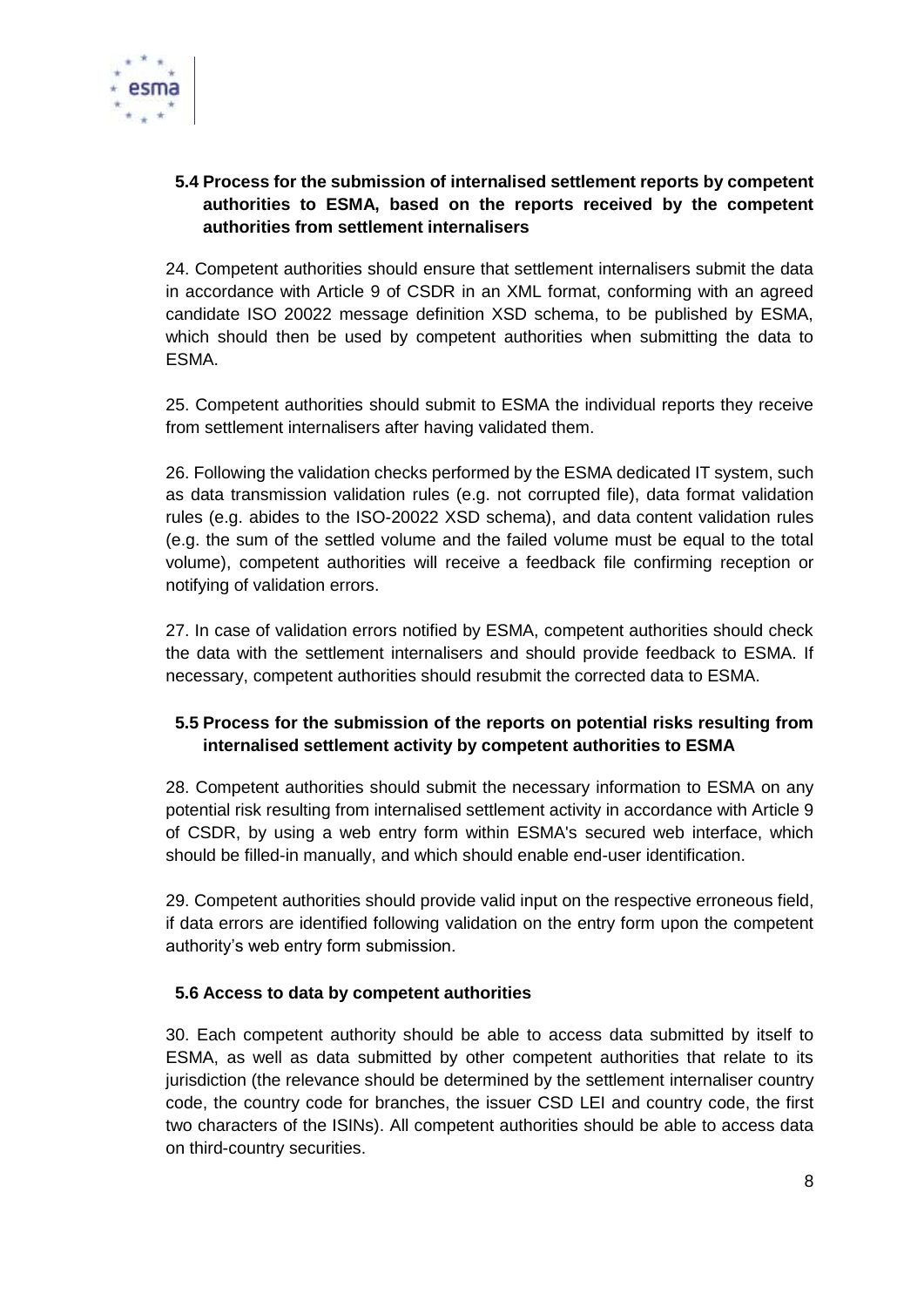

## **5.4 Process for the submission of internalised settlement reports by competent authorities to ESMA, based on the reports received by the competent authorities from settlement internalisers**

24. Competent authorities should ensure that settlement internalisers submit the data in accordance with Article 9 of CSDR in an XML format, conforming with an agreed candidate ISO 20022 message definition XSD schema, to be published by ESMA, which should then be used by competent authorities when submitting the data to ESMA.

25. Competent authorities should submit to ESMA the individual reports they receive from settlement internalisers after having validated them.

26. Following the validation checks performed by the ESMA dedicated IT system, such as data transmission validation rules (e.g. not corrupted file), data format validation rules (e.g. abides to the ISO-20022 XSD schema), and data content validation rules (e.g. the sum of the settled volume and the failed volume must be equal to the total volume), competent authorities will receive a feedback file confirming reception or notifying of validation errors.

27. In case of validation errors notified by ESMA, competent authorities should check the data with the settlement internalisers and should provide feedback to ESMA. If necessary, competent authorities should resubmit the corrected data to ESMA.

## **5.5 Process for the submission of the reports on potential risks resulting from internalised settlement activity by competent authorities to ESMA**

28. Competent authorities should submit the necessary information to ESMA on any potential risk resulting from internalised settlement activity in accordance with Article 9 of CSDR, by using a web entry form within ESMA's secured web interface, which should be filled-in manually, and which should enable end-user identification.

29. Competent authorities should provide valid input on the respective erroneous field, if data errors are identified following validation on the entry form upon the competent authority's web entry form submission.

### **5.6 Access to data by competent authorities**

30. Each competent authority should be able to access data submitted by itself to ESMA, as well as data submitted by other competent authorities that relate to its jurisdiction (the relevance should be determined by the settlement internaliser country code, the country code for branches, the issuer CSD LEI and country code, the first two characters of the ISINs). All competent authorities should be able to access data on third-country securities.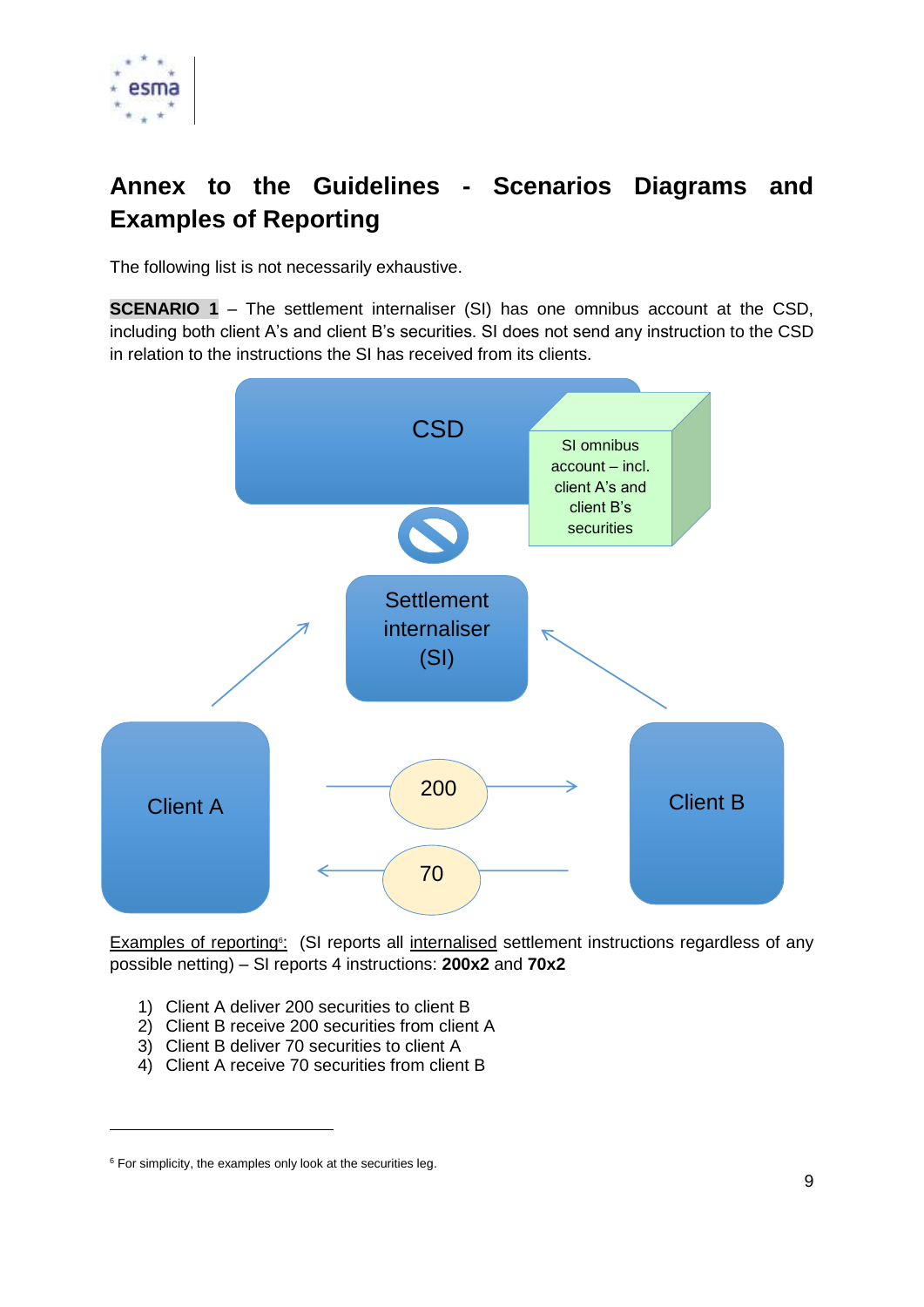

# **Annex to the Guidelines - Scenarios Diagrams and Examples of Reporting**

The following list is not necessarily exhaustive.

**SCENARIO 1** – The settlement internaliser (SI) has one omnibus account at the CSD, including both client A's and client B's securities. SI does not send any instruction to the CSD in relation to the instructions the SI has received from its clients.



Examples of reporting<sup>®</sup>: (SI reports all internalised settlement instructions regardless of any possible netting) – SI reports 4 instructions: **200x2** and **70x2**

- 1) Client A deliver 200 securities to client B
- 2) Client B receive 200 securities from client A
- 3) Client B deliver 70 securities to client A
- 4) Client A receive 70 securities from client B

-

 $6$  For simplicity, the examples only look at the securities leg.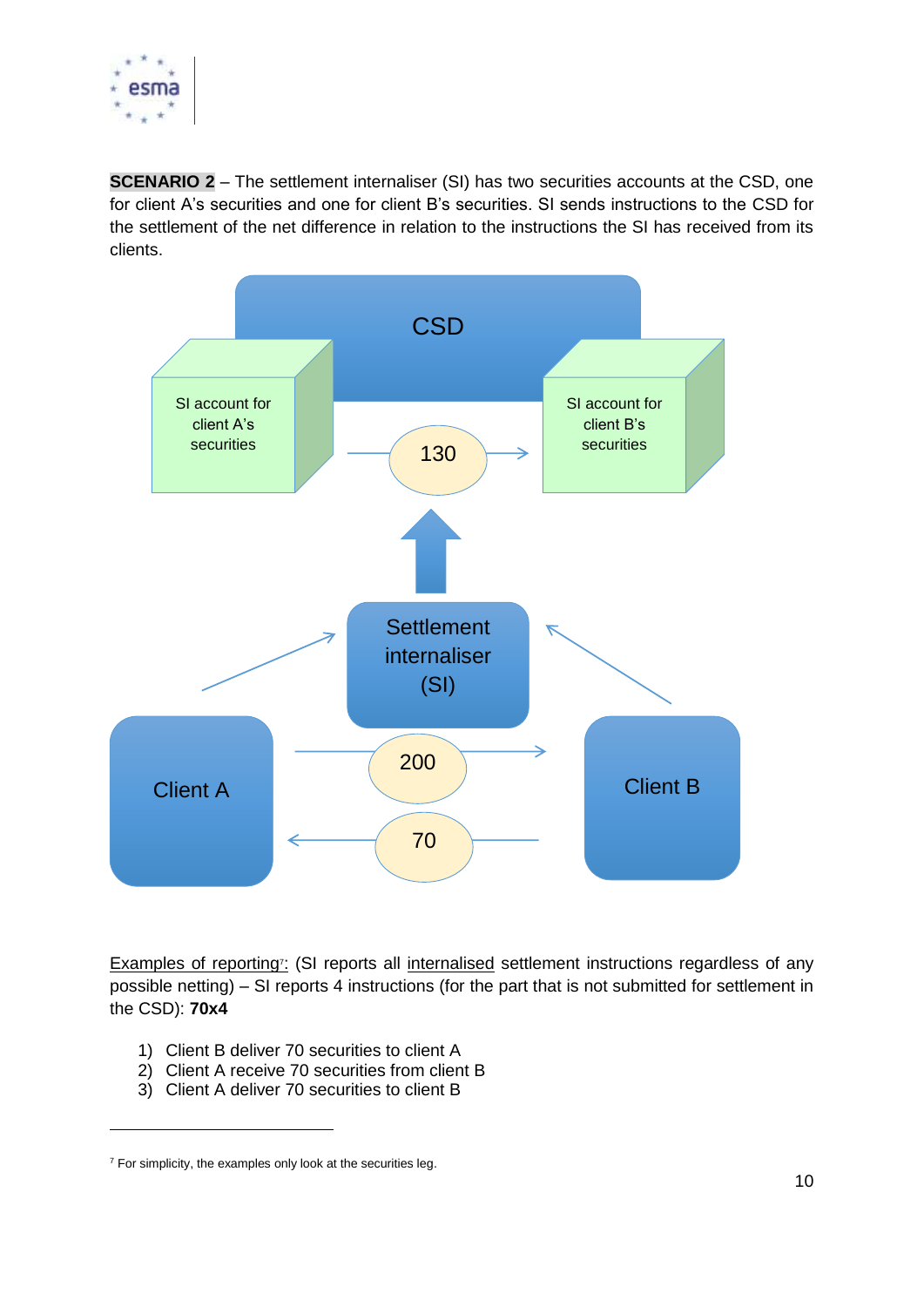

**SCENARIO 2** – The settlement internaliser (SI) has two securities accounts at the CSD, one for client A's securities and one for client B's securities. SI sends instructions to the CSD for the settlement of the net difference in relation to the instructions the SI has received from its clients.



Examples of reporting<sup>7</sup>: (SI reports all internalised settlement instructions regardless of any possible netting) – SI reports 4 instructions (for the part that is not submitted for settlement in the CSD): **70x4**

- 1) Client B deliver 70 securities to client A
- 2) Client A receive 70 securities from client B
- 3) Client A deliver 70 securities to client B

-

 $7$  For simplicity, the examples only look at the securities leg.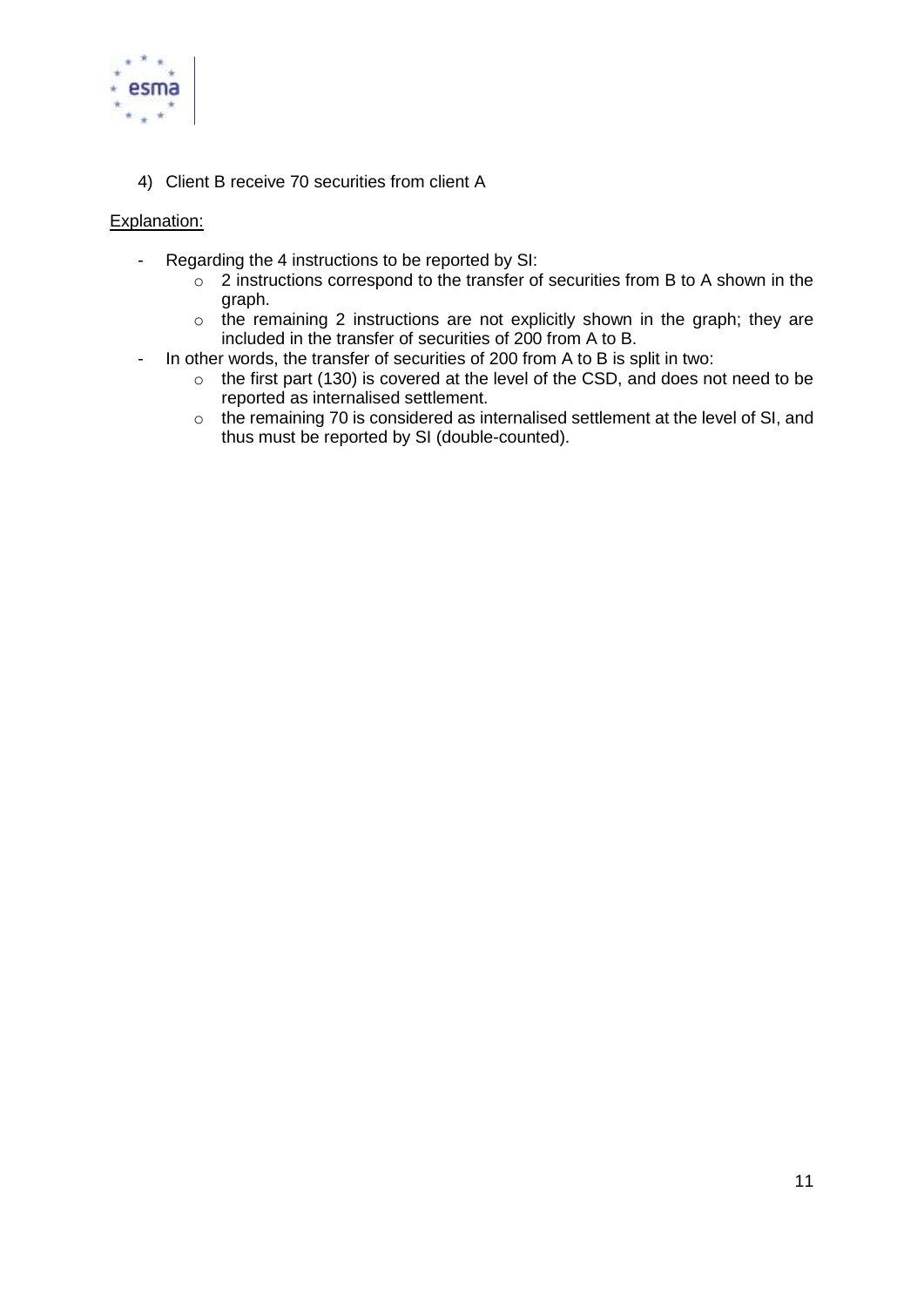

4) Client B receive 70 securities from client A

#### Explanation:

- Regarding the 4 instructions to be reported by SI:
	- $\circ$  2 instructions correspond to the transfer of securities from B to A shown in the graph.
	- o the remaining 2 instructions are not explicitly shown in the graph; they are included in the transfer of securities of 200 from A to B.
- In other words, the transfer of securities of 200 from A to B is split in two:
	- o the first part (130) is covered at the level of the CSD, and does not need to be reported as internalised settlement.
	- o the remaining 70 is considered as internalised settlement at the level of SI, and thus must be reported by SI (double-counted).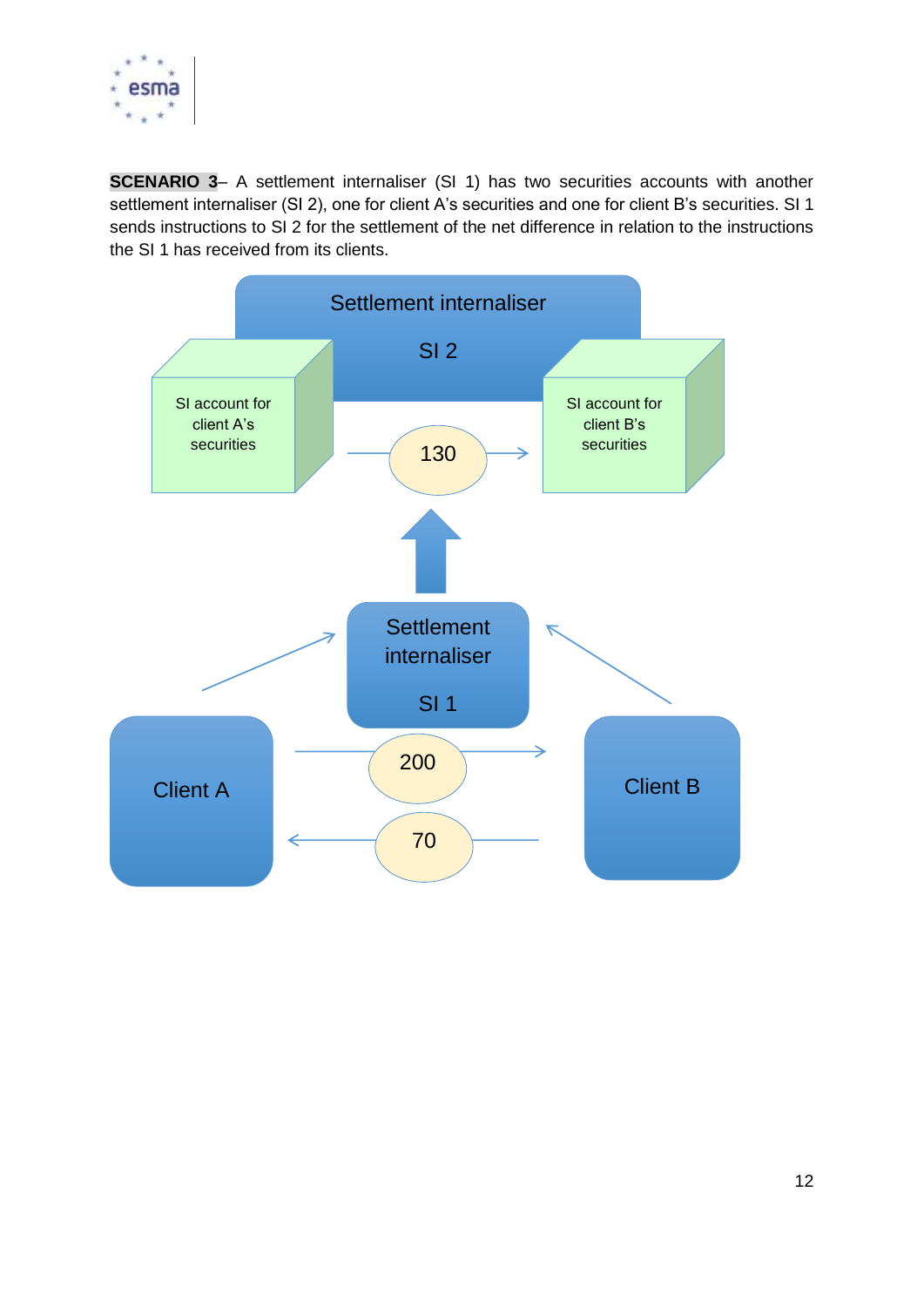

**SCENARIO 3-** A settlement internaliser (SI 1) has two securities accounts with another settlement internaliser (SI 2), one for client A's securities and one for client B's securities. SI 1 sends instructions to SI 2 for the settlement of the net difference in relation to the instructions the SI 1 has received from its clients.